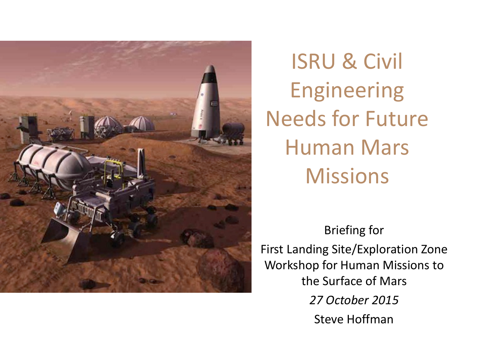

ISRU & Civil Engineering Needs for Future Human Mars **Missions** 

Briefing for First Landing Site/Exploration Zone Workshop for Human Missions to the Surface of Mars *27 October 2015* Steve Hoffman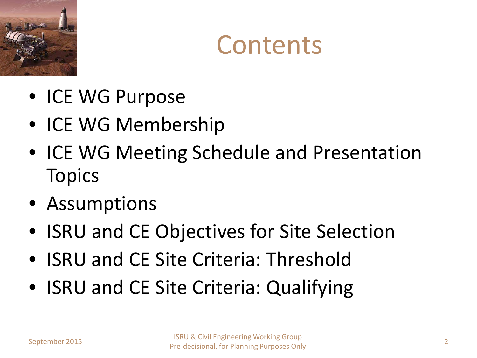



- ICE WG Purpose
- ICE WG Membership
- ICE WG Meeting Schedule and Presentation **Topics**
- Assumptions
- ISRU and CE Objectives for Site Selection
- ISRU and CE Site Criteria: Threshold
- ISRU and CE Site Criteria: Qualifying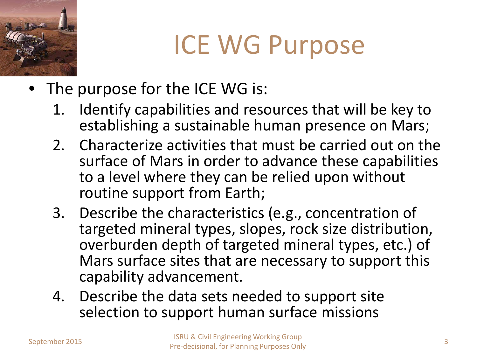

# ICE WG Purpose

- The purpose for the ICE WG is:
	- 1. Identify capabilities and resources that will be key to establishing a sustainable human presence on Mars;
	- 2. Characterize activities that must be carried out on the surface of Mars in order to advance these capabilities to a level where they can be relied upon without routine support from Earth;
	- 3. Describe the characteristics (e.g., concentration of targeted mineral types, slopes, rock size distribution, overburden depth of targeted mineral types, etc.) of Mars surface sites that are necessary to support this capability advancement.
	- 4. Describe the data sets needed to support site selection to support human surface missions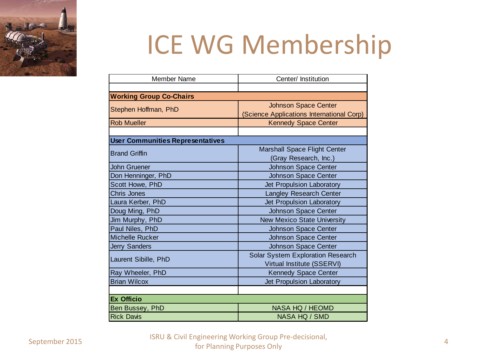

# ICE WG Membership

| <b>Member Name</b>                      | Center/ Institution                       |
|-----------------------------------------|-------------------------------------------|
|                                         |                                           |
| <b>Working Group Co-Chairs</b>          |                                           |
| Stephen Hoffman, PhD                    | <b>Johnson Space Center</b>               |
|                                         | (Science Applications International Corp) |
| <b>Rob Mueller</b>                      | <b>Kennedy Space Center</b>               |
|                                         |                                           |
| <b>User Communities Representatives</b> |                                           |
| <b>Brand Griffin</b>                    | Marshall Space Flight Center              |
|                                         | (Gray Research, Inc.)                     |
| <b>John Gruener</b>                     | <b>Johnson Space Center</b>               |
| Don Henninger, PhD                      | Johnson Space Center                      |
| Scott Howe, PhD                         | Jet Propulsion Laboratory                 |
| <b>Chris Jones</b>                      | <b>Langley Research Center</b>            |
| Laura Kerber, PhD                       | Jet Propulsion Laboratory                 |
| Doug Ming, PhD                          | Johnson Space Center                      |
| Jim Murphy, PhD                         | <b>New Mexico State University</b>        |
| Paul Niles, PhD                         | <b>Johnson Space Center</b>               |
| <b>Michelle Rucker</b>                  | Johnson Space Center                      |
| <b>Jerry Sanders</b>                    | <b>Johnson Space Center</b>               |
| Laurent Sibille, PhD                    | Solar System Exploration Research         |
|                                         | Virtual Institute (SSERVI)                |
| Ray Wheeler, PhD                        | Kennedy Space Center                      |
| <b>Brian Wilcox</b>                     | Jet Propulsion Laboratory                 |
|                                         |                                           |
| <b>Ex Officio</b>                       |                                           |
| Ben Bussey, PhD                         | NASA HQ / HEOMD                           |
| <b>Rick Davis</b>                       | NASA HQ / SMD                             |

September 2015 ISRU & Civil Engineering Working Group Pre-decisional, for Planning Purposes Only 4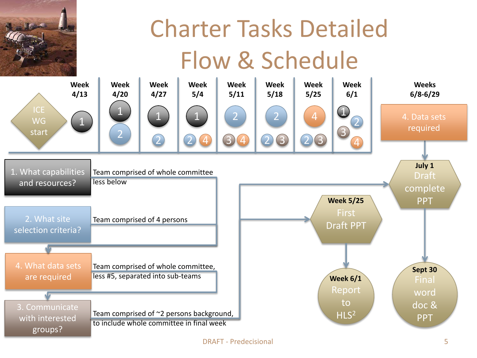

## Charter Tasks Detailed Flow & Schedule

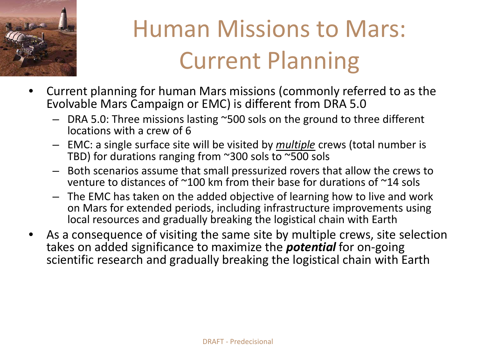

## Human Missions to Mars: Current Planning

- Current planning for human Mars missions (commonly referred to as the Evolvable Mars Campaign or EMC) is different from DRA 5.0
	- DRA 5.0: Three missions lasting ~500 sols on the ground to three different locations with a crew of 6
	- EMC: a single surface site will be visited by *multiple* crews (total number is TBD) for durations ranging from ~300 sols to ~500 sols
	- Both scenarios assume that small pressurized rovers that allow the crews to venture to distances of ~100 km from their base for durations of ~14 sols
	- The EMC has taken on the added objective of learning how to live and work on Mars for extended periods, including infrastructure improvements using local resources and gradually breaking the logistical chain with Earth
- As a consequence of visiting the same site by multiple crews, site selection takes on added significance to maximize the *potential* for on-going scientific research and gradually breaking the logistical chain with Earth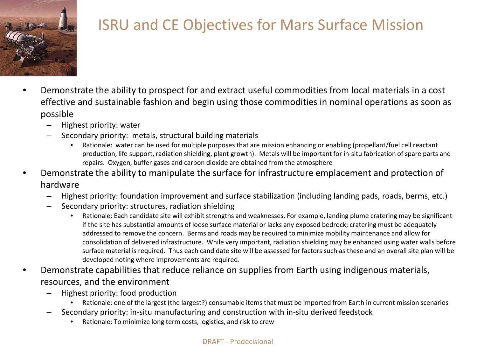

#### ISRU and CE Objectives for Mars Surface Mission

- Demonstrate the ability to prospect for and extract useful commodities from local materials in a cost effective and sustainable fashion and begin using those commodities in nominal operations as soon as possible
	- Highest priority: water
	- Secondary priority: metals, structural building materials
		- Rationale: water can be used for multiple purposes that are mission enhancing or enabling (propellant/fuel cell reactant production, life support, radiation shielding, plant growth). Metals will be important for in-situ fabrication of spare parts and repairs. Oxygen, buffer gases and carbon dioxide are obtained from the atmosphere
- Demonstrate the ability to manipulate the surface for infrastructure emplacement and protection of hardware
	- Highest priority: foundation improvement and surface stabilization (including landing pads, roads, berms, etc.)
	- Secondary priority: structures, radiation shielding
		- Rationale: Each candidate site will exhibit strengths and weaknesses. For example, landing plume cratering may be significant if the site has substantial amounts of loose surface material or lacks any exposed bedrock; cratering must be adequately addressed to remove the concern. Berms and roads may be required to minimize mobility maintenance and allow for consolidation of delivered infrastructure. While very important, radiation shielding may be enhanced using water walls before surface material is required. Thus each candidate site will be assessed for factors such as these and an overall site plan will be developed noting where improvements are required.
- Demonstrate capabilities that reduce reliance on supplies from Earth using indigenous materials, resources, and the environment
	- Highest priority: food production
		- Rationale: one of the largest (the largest?) consumable items that must be imported from Earth in current mission scenarios
	- Secondary priority: in-situ manufacturing and construction with in-situ derived feedstock
		- Rationale: To minimize long term costs, logistics, and risk to crew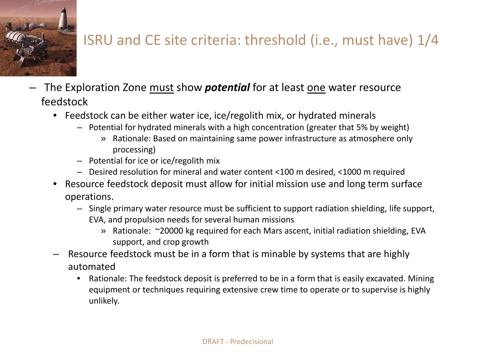

#### ISRU and CE site criteria: threshold (i.e., must have) 1/4

- The Exploration Zone must show *potential* for at least one water resource feedstock
	- Feedstock can be either water ice, ice/regolith mix, or hydrated minerals
		- Potential for hydrated minerals with a high concentration (greater that 5% by weight)
			- » Rationale: Based on maintaining same power infrastructure as atmosphere only processing)
		- Potential for ice or ice/regolith mix
		- Desired resolution for mineral and water content <100 m desired, <1000 m required
	- Resource feedstock deposit must allow for initial mission use and long term surface operations.
		- Single primary water resource must be sufficient to support radiation shielding, life support, EVA, and propulsion needs for several human missions
			- » Rationale: ~20000 kg required for each Mars ascent, initial radiation shielding, EVA support, and crop growth
	- Resource feedstock must be in a form that is minable by systems that are highly automated
		- Rationale: The feedstock deposit is preferred to be in a form that is easily excavated. Mining equipment or techniques requiring extensive crew time to operate or to supervise is highly unlikely.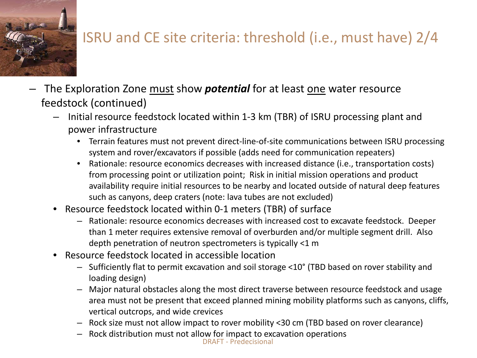

### ISRU and CE site criteria: threshold (i.e., must have) 2/4

- The Exploration Zone must show *potential* for at least one water resource feedstock (continued)
	- Initial resource feedstock located within 1-3 km (TBR) of ISRU processing plant and power infrastructure
		- Terrain features must not prevent direct-line-of-site communications between ISRU processing system and rover/excavators if possible (adds need for communication repeaters)
		- Rationale: resource economics decreases with increased distance (i.e., transportation costs) from processing point or utilization point; Risk in initial mission operations and product availability require initial resources to be nearby and located outside of natural deep features such as canyons, deep craters (note: lava tubes are not excluded)
	- Resource feedstock located within 0-1 meters (TBR) of surface
		- Rationale: resource economics decreases with increased cost to excavate feedstock. Deeper than 1 meter requires extensive removal of overburden and/or multiple segment drill. Also depth penetration of neutron spectrometers is typically <1 m
	- Resource feedstock located in accessible location
		- Sufficiently flat to permit excavation and soil storage <10° (TBD based on rover stability and loading design)
		- Major natural obstacles along the most direct traverse between resource feedstock and usage area must not be present that exceed planned mining mobility platforms such as canyons, cliffs, vertical outcrops, and wide crevices
		- Rock size must not allow impact to rover mobility <30 cm (TBD based on rover clearance)
		- Rock distribution must not allow for impact to excavation operations DRAFT - Predecisional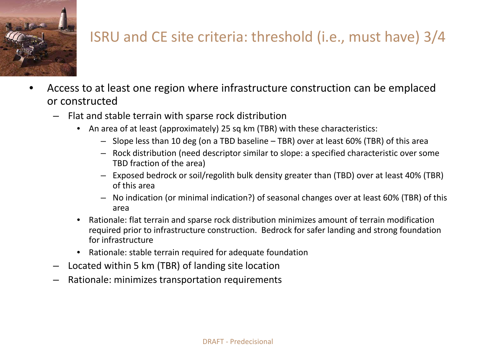

#### ISRU and CE site criteria: threshold (i.e., must have) 3/4

- Access to at least one region where infrastructure construction can be emplaced or constructed
	- Flat and stable terrain with sparse rock distribution
		- An area of at least (approximately) 25 sq km (TBR) with these characteristics:
			- Slope less than 10 deg (on a TBD baseline TBR) over at least 60% (TBR) of this area
			- Rock distribution (need descriptor similar to slope: a specified characteristic over some TBD fraction of the area)
			- Exposed bedrock or soil/regolith bulk density greater than (TBD) over at least 40% (TBR) of this area
			- No indication (or minimal indication?) of seasonal changes over at least 60% (TBR) of this area
		- Rationale: flat terrain and sparse rock distribution minimizes amount of terrain modification required prior to infrastructure construction. Bedrock for safer landing and strong foundation for infrastructure
		- Rationale: stable terrain required for adequate foundation
	- Located within 5 km (TBR) of landing site location
	- Rationale: minimizes transportation requirements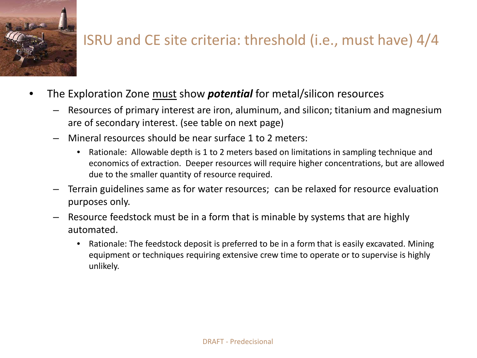

#### ISRU and CE site criteria: threshold (i.e., must have) 4/4

- The Exploration Zone must show *potential* for metal/silicon resources
	- Resources of primary interest are iron, aluminum, and silicon; titanium and magnesium are of secondary interest. (see table on next page)
	- Mineral resources should be near surface 1 to 2 meters:
		- Rationale: Allowable depth is 1 to 2 meters based on limitations in sampling technique and economics of extraction. Deeper resources will require higher concentrations, but are allowed due to the smaller quantity of resource required.
	- Terrain guidelines same as for water resources; can be relaxed for resource evaluation purposes only.
	- Resource feedstock must be in a form that is minable by systems that are highly automated.
		- Rationale: The feedstock deposit is preferred to be in a form that is easily excavated. Mining equipment or techniques requiring extensive crew time to operate or to supervise is highly unlikely.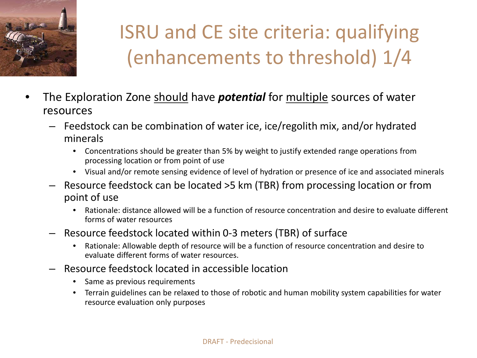

### ISRU and CE site criteria: qualifying (enhancements to threshold) 1/4

- The Exploration Zone should have *potential* for multiple sources of water resources
	- Feedstock can be combination of water ice, ice/regolith mix, and/or hydrated minerals
		- Concentrations should be greater than 5% by weight to justify extended range operations from processing location or from point of use
		- Visual and/or remote sensing evidence of level of hydration or presence of ice and associated minerals
	- Resource feedstock can be located >5 km (TBR) from processing location or from point of use
		- Rationale: distance allowed will be a function of resource concentration and desire to evaluate different forms of water resources
	- Resource feedstock located within 0-3 meters (TBR) of surface
		- Rationale: Allowable depth of resource will be a function of resource concentration and desire to evaluate different forms of water resources.
	- Resource feedstock located in accessible location
		- Same as previous requirements
		- Terrain guidelines can be relaxed to those of robotic and human mobility system capabilities for water resource evaluation only purposes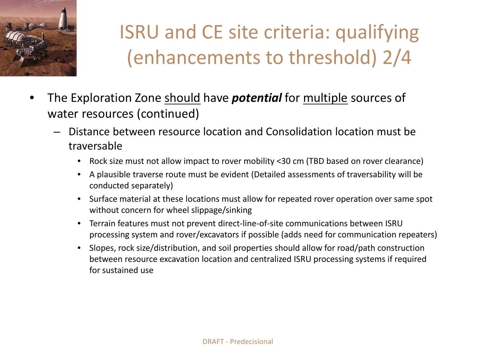

### ISRU and CE site criteria: qualifying (enhancements to threshold) 2/4

- The Exploration Zone should have *potential* for multiple sources of water resources (continued)
	- Distance between resource location and Consolidation location must be traversable
		- Rock size must not allow impact to rover mobility <30 cm (TBD based on rover clearance)
		- A plausible traverse route must be evident (Detailed assessments of traversability will be conducted separately)
		- Surface material at these locations must allow for repeated rover operation over same spot without concern for wheel slippage/sinking
		- Terrain features must not prevent direct-line-of-site communications between ISRU processing system and rover/excavators if possible (adds need for communication repeaters)
		- Slopes, rock size/distribution, and soil properties should allow for road/path construction between resource excavation location and centralized ISRU processing systems if required for sustained use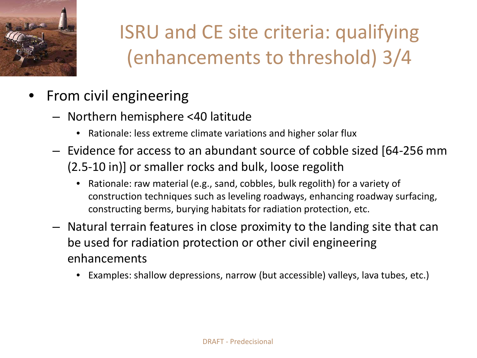

### ISRU and CE site criteria: qualifying (enhancements to threshold) 3/4

- From civil engineering
	- Northern hemisphere <40 latitude
		- Rationale: less extreme climate variations and higher solar flux
	- Evidence for access to an abundant source of cobble sized [64-256 mm (2.5-10 in)] or smaller rocks and bulk, loose regolith
		- Rationale: raw material (e.g., sand, cobbles, bulk regolith) for a variety of construction techniques such as leveling roadways, enhancing roadway surfacing, constructing berms, burying habitats for radiation protection, etc.
	- Natural terrain features in close proximity to the landing site that can be used for radiation protection or other civil engineering enhancements
		- Examples: shallow depressions, narrow (but accessible) valleys, lava tubes, etc.)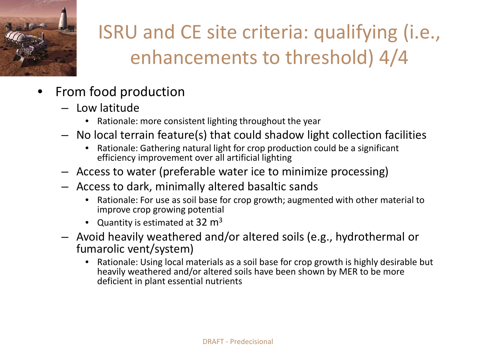

### ISRU and CE site criteria: qualifying (i.e., enhancements to threshold) 4/4

- From food production
	- Low latitude
		- Rationale: more consistent lighting throughout the year
	- No local terrain feature(s) that could shadow light collection facilities
		- Rationale: Gathering natural light for crop production could be a significant efficiency improvement over all artificial lighting
	- Access to water (preferable water ice to minimize processing)
	- Access to dark, minimally altered basaltic sands
		- Rationale: For use as soil base for crop growth; augmented with other material to improve crop growing potential
		- Quantity is estimated at  $32 \text{ m}^3$
	- Avoid heavily weathered and/or altered soils (e.g., hydrothermal or fumarolic vent/system)
		- Rationale: Using local materials as a soil base for crop growth is highly desirable but heavily weathered and/or altered soils have been shown by MER to be more deficient in plant essential nutrients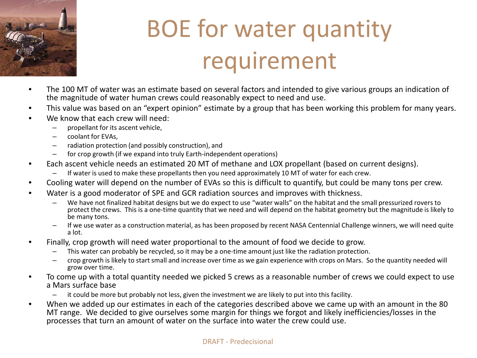

## BOE for water quantity requirement

- The 100 MT of water was an estimate based on several factors and intended to give various groups an indication of the magnitude of water human crews could reasonably expect to need and use.
- This value was based on an "expert opinion" estimate by a group that has been working this problem for many years.
- We know that each crew will need:
	- propellant for its ascent vehicle,
	- coolant for EVAs,
	- radiation protection (and possibly construction), and
	- for crop growth (if we expand into truly Earth-independent operations)
- Each ascent vehicle needs an estimated 20 MT of methane and LOX propellant (based on current designs).
	- If water is used to make these propellants then you need approximately 10 MT of water for each crew.
- Cooling water will depend on the number of EVAs so this is difficult to quantify, but could be many tons per crew.
- Water is a good moderator of SPE and GCR radiation sources and improves with thickness.
	- We have not finalized habitat designs but we do expect to use "water walls" on the habitat and the small pressurized rovers to protect the crews. This is a one-time quantity that we need and will depend on the habitat geometry but the magnitude is likely to be many tons.
	- If we use water as a construction material, as has been proposed by recent NASA Centennial Challenge winners, we will need quite a lot.
- Finally, crop growth will need water proportional to the amount of food we decide to grow.
	- This water can probably be recycled, so it may be a one-time amount just like the radiation protection.
	- crop growth is likely to start small and increase over time as we gain experience with crops on Mars. So the quantity needed will grow over time.
- To come up with a total quantity needed we picked 5 crews as a reasonable number of crews we could expect to use a Mars surface base
	- it could be more but probably not less, given the investment we are likely to put into this facility.
- When we added up our estimates in each of the categories described above we came up with an amount in the 80 MT range. We decided to give ourselves some margin for things we forgot and likely inefficiencies/losses in the processes that turn an amount of water on the surface into water the crew could use.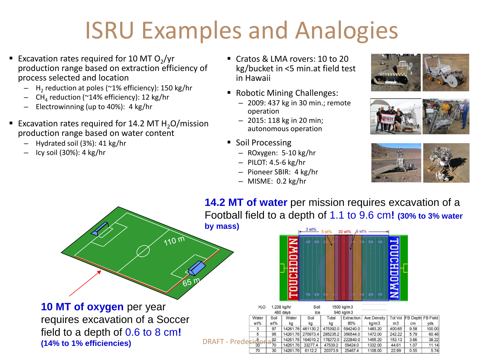## ISRU Examples and Analogies

- Excavation rates required for 10 MT O<sub>2</sub>/yr production range based on extraction efficiency of process selected and location
	- $H<sub>2</sub>$  reduction at poles (~1% efficiency): 150 kg/hr
	- CH<sub>4</sub> reduction (~14% efficiency): 12 kg/hr
	- Electrowinning (up to 40%): 4 kg/hr
- Excavation rates required for 14.2 MT  $H<sub>2</sub>O/mission$ production range based on water content
	- Hydrated soil (3%): 41 kg/hr
	- Icy soil (30%): 4 kg/hr
- Cratos & LMA rovers: 10 to 20 kg/bucket in <5 min.at field test in Hawaii
- Robotic Mining Challenges:
	- 2009: 437 kg in 30 min.; remote operation
	- 2015: 118 kg in 20 min; autonomous operation
- Soil Processing
	- ROxygen: 5-10 kg/hr
	- PILOT: 4.5-6 kg/hr
	- Pioneer SBIR: 4 kg/hr
	- MISME: 0.2 kg/hr







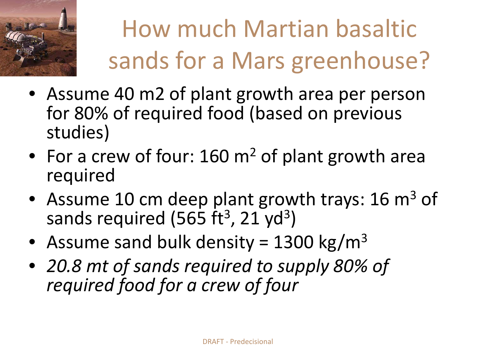

# How much Martian basaltic sands for a Mars greenhouse?

- Assume 40 m2 of plant growth area per person for 80% of required food (based on previous studies)
- For a crew of four: 160 m<sup>2</sup> of plant growth area required
- Assume 10 cm deep plant growth trays: 16  $m<sup>3</sup>$  of sands required (565 $ft^3$ , 21 yd<sup>3</sup>)
- Assume sand bulk density = 1300 kg/m<sup>3</sup>
- *20.8 mt of sands required to supply 80% of required food for a crew of four*